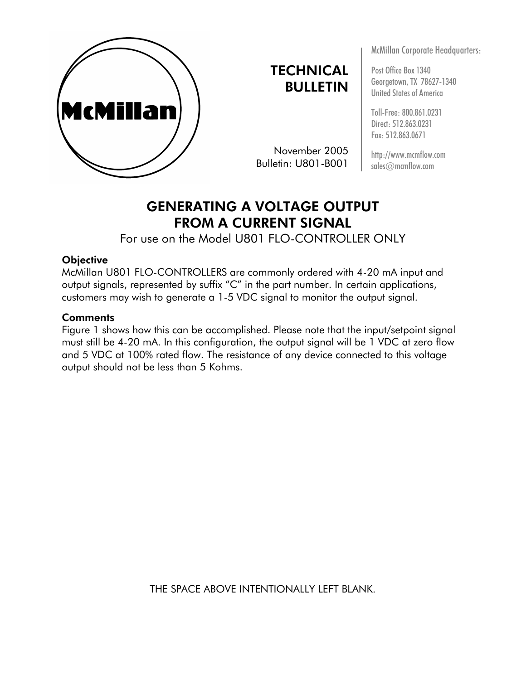

**TECHNICAL** BULLETIN

November 2005 Bulletin: U801-B001

McMillan Corporate Headquarters:

Post Office Box 1340 Georgetown, TX 78627-1340 United States of America

Toll-Free: 800.861.0231 Direct: 512.863.0231 Fax: 512.863.0671

http://www.mcmflow.com sales@mcmflow.com

## GENERATING A VOLTAGE OUTPUT FROM A CURRENT SIGNAL

For use on the Model U801 FLO-CONTROLLER ONLY

## **Objective**

McMillan U801 FLO-CONTROLLERS are commonly ordered with 4-20 mA input and output signals, represented by suffix "C" in the part number. In certain applications, customers may wish to generate a 1-5 VDC signal to monitor the output signal.

## **Comments**

Figure 1 shows how this can be accomplished. Please note that the input/setpoint signal must still be 4-20 mA. In this configuration, the output signal will be 1 VDC at zero flow and 5 VDC at 100% rated flow. The resistance of any device connected to this voltage output should not be less than 5 Kohms.

THE SPACE ABOVE INTENTIONALLY LEFT BLANK.